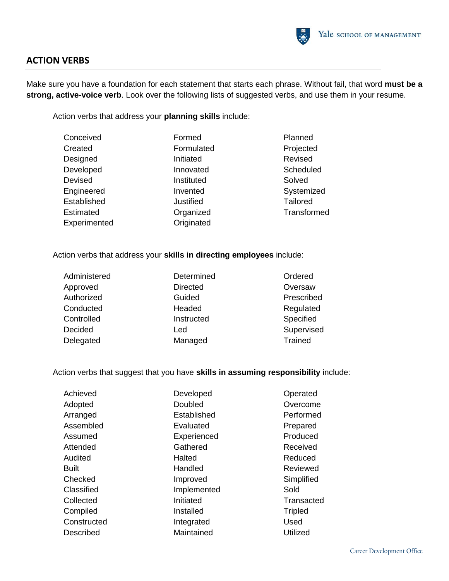

## **ACTION VERBS**

Make sure you have a foundation for each statement that starts each phrase. Without fail, that word **must be a strong, active-voice verb**. Look over the following lists of suggested verbs, and use them in your resume.

Action verbs that address your **planning skills** include:

| Conceived        | Formed     | Planned     |
|------------------|------------|-------------|
| Created          | Formulated | Projected   |
| Designed         | Initiated  | Revised     |
| Developed        | Innovated  | Scheduled   |
| Devised          | Instituted | Solved      |
| Engineered       | Invented   | Systemized  |
| Established      | Justified  | Tailored    |
| <b>Estimated</b> | Organized  | Transformed |
| Experimented     | Originated |             |

Action verbs that address your **skills in directing employees** include:

| Administered | Determined      | Ordered    |
|--------------|-----------------|------------|
| Approved     | <b>Directed</b> | Oversaw    |
| Authorized   | Guided          | Prescribed |
| Conducted    | Headed          | Regulated  |
| Controlled   | Instructed      | Specified  |
| Decided      | Led             | Supervised |
| Delegated    | Managed         | Trained    |

Action verbs that suggest that you have **skills in assuming responsibility** include:

| Achieved     | Developed   | Operated        |
|--------------|-------------|-----------------|
| Adopted      | Doubled     | Overcome        |
| Arranged     | Established | Performed       |
| Assembled    | Evaluated   | Prepared        |
| Assumed      | Experienced | Produced        |
| Attended     | Gathered    | Received        |
| Audited      | Halted      | Reduced         |
| <b>Built</b> | Handled     | Reviewed        |
| Checked      | Improved    | Simplified      |
| Classified   | Implemented | Sold            |
| Collected    | Initiated   | Transacted      |
| Compiled     | Installed   | <b>Tripled</b>  |
| Constructed  | Integrated  | Used            |
| Described    | Maintained  | <b>Utilized</b> |